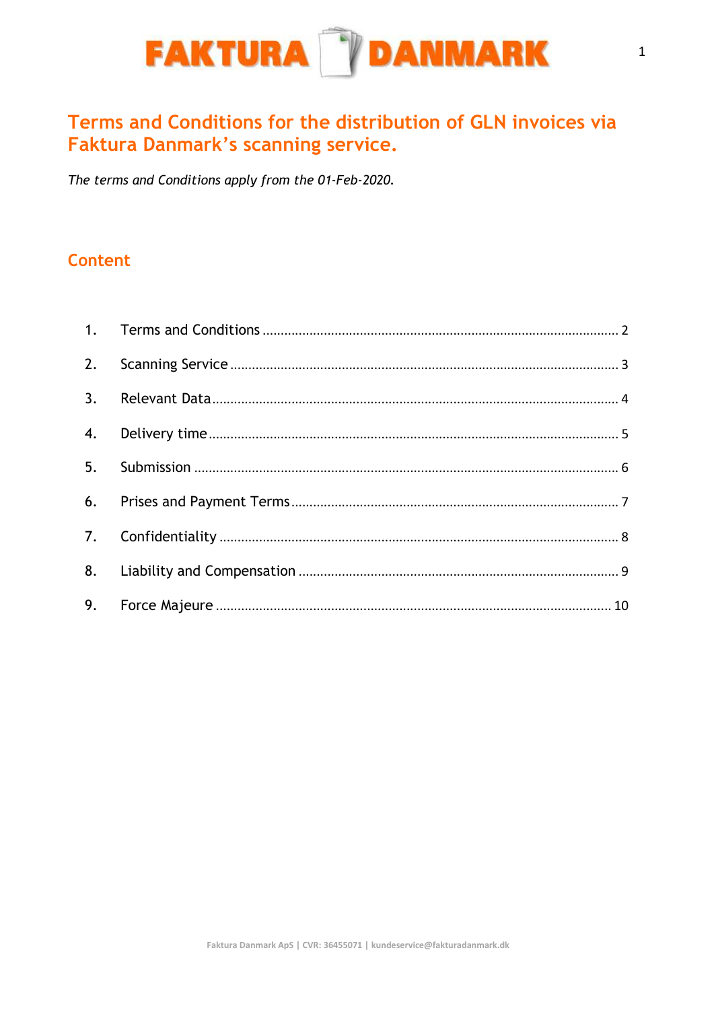

# Terms and Conditions for the distribution of GLN invoices via **Faktura Danmark's scanning service.**

The terms and Conditions apply from the 01-Feb-2020.

#### Content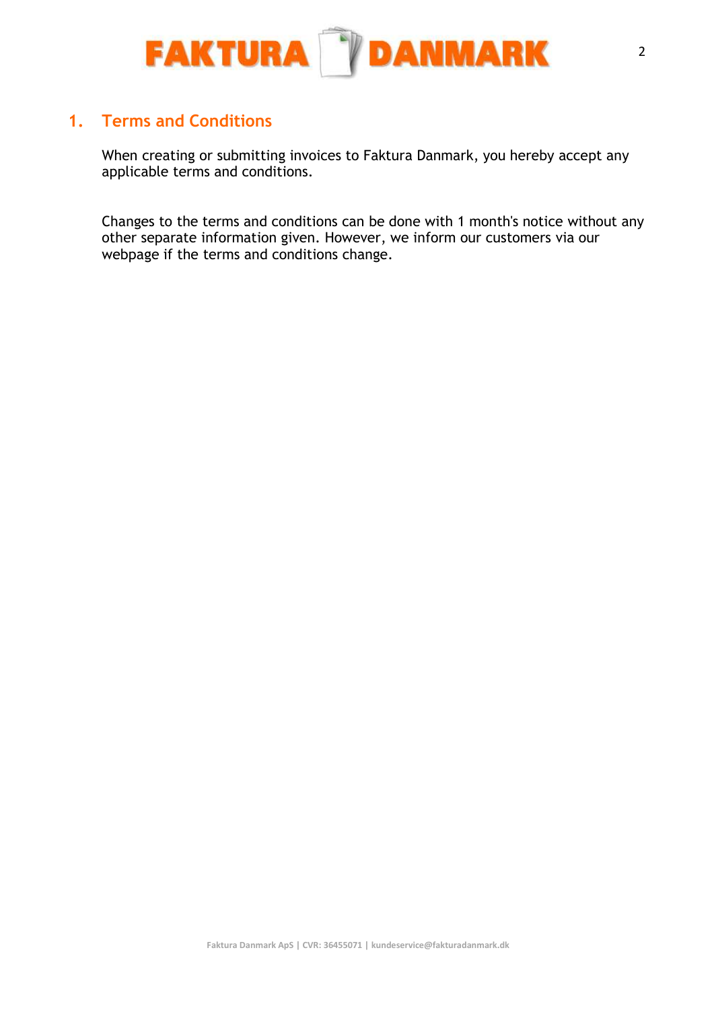

#### 1. Terms and Conditions

When creating or submitting invoices to Faktura Danmark, you hereby accept any applicable terms and conditions.

Changes to the terms and conditions can be done with 1 month's notice without any other separate information given. However, we inform our customers via our webpage if the terms and conditions change.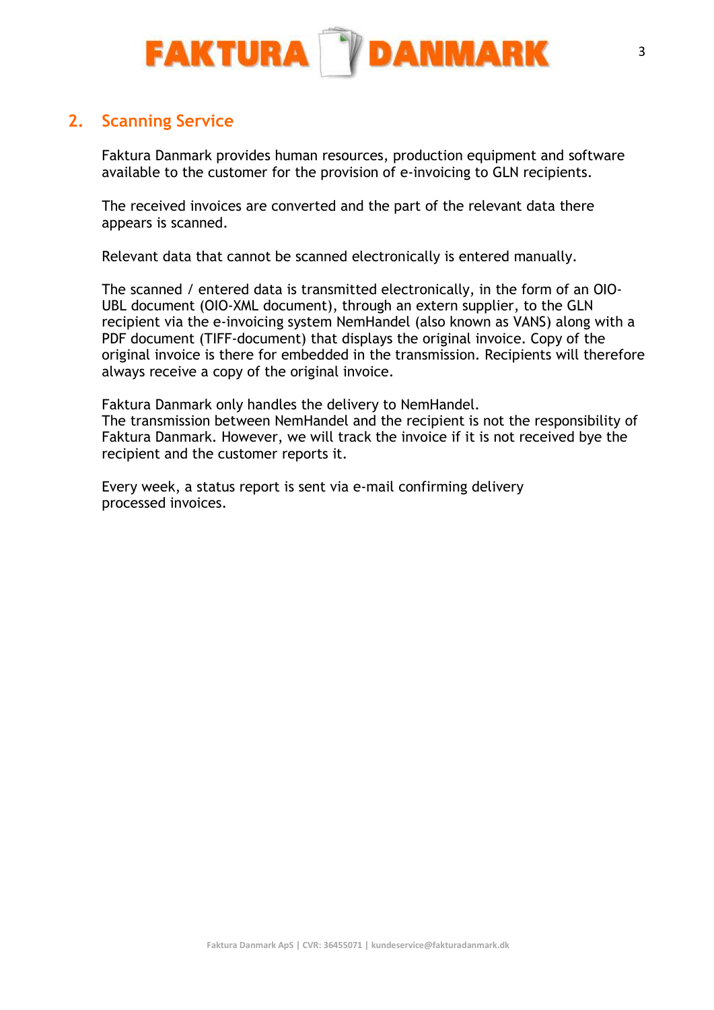

## 2. Scanning Service

Faktura Danmark provides human resources, production equipment and software available to the customer for the provision of e-invoicing to GLN recipients.

The received invoices are converted and the part of the relevant data there appears is scanned.

Relevant data that cannot be scanned electronically is entered manually.

The scanned / entered data is transmitted electronically, in the form of an OIO-UBL document (OIO-XML document), through an extern supplier, to the GLN recipient via the e-invoicing system NemHandel (also known as VANS) along with a PDF document (TIFF-document) that displays the original invoice. Copy of the original invoice is there for embedded in the transmission. Recipients will therefore always receive a copy of the original invoice.

Faktura Danmark only handles the delivery to NemHandel. The transmission between NemHandel and the recipient is not the responsibility of Faktura Danmark. However, we will track the invoice if it is not received bye the recipient and the customer reports it.

Every week, a status report is sent via e-mail confirming delivery processed invoices.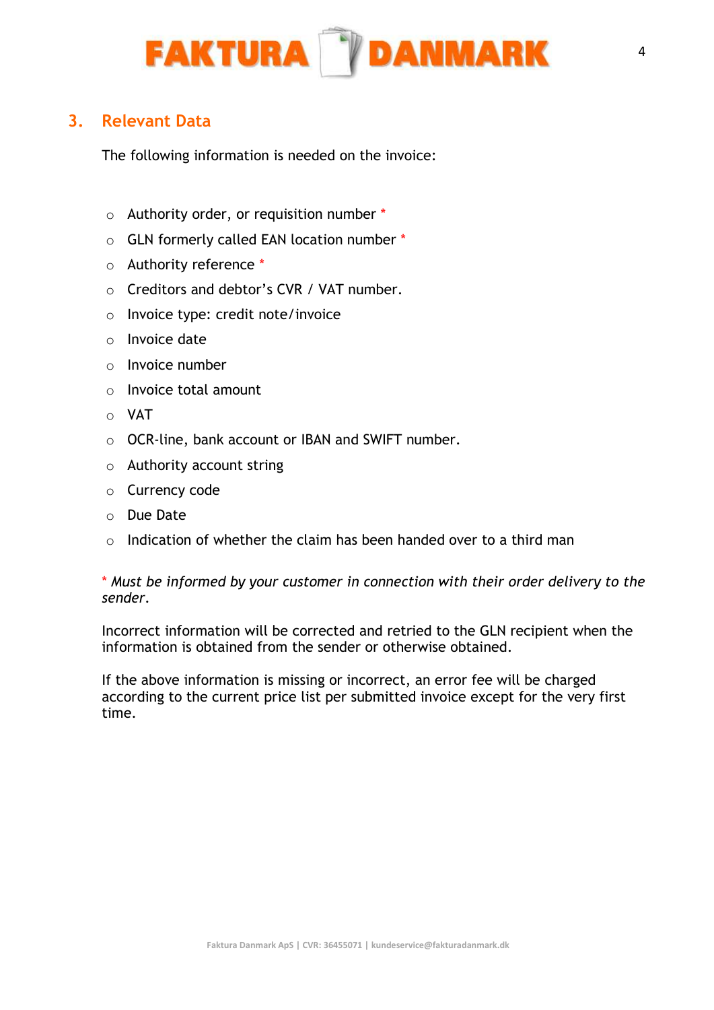

## 3. Relevant Data

The following information is needed on the invoice:

- o Authority order, or requisition number \*
- o GLN formerly called EAN location number \*
- o Authority reference \*
- o Creditors and debtor's CVR / VAT number.
- o Invoice type: credit note/invoice
- o Invoice date
- $\circ$  Invoice number
- o Invoice total amount
- o VAT
- o OCR-line, bank account or IBAN and SWIFT number.
- o Authority account string
- o Currency code
- o Due Date
- $\circ$  Indication of whether the claim has been handed over to a third man

\* Must be informed by your customer in connection with their order delivery to the sender.

Incorrect information will be corrected and retried to the GLN recipient when the information is obtained from the sender or otherwise obtained.

If the above information is missing or incorrect, an error fee will be charged according to the current price list per submitted invoice except for the very first time.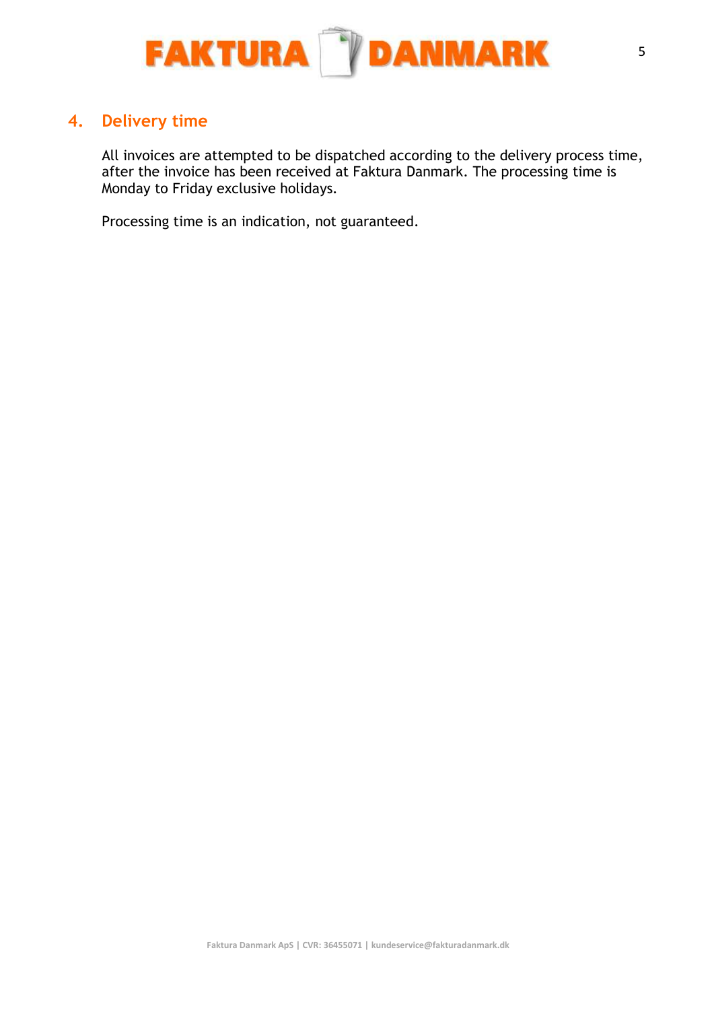

## 4. Delivery time

All invoices are attempted to be dispatched according to the delivery process time, after the invoice has been received at Faktura Danmark. The processing time is Monday to Friday exclusive holidays.

Processing time is an indication, not guaranteed.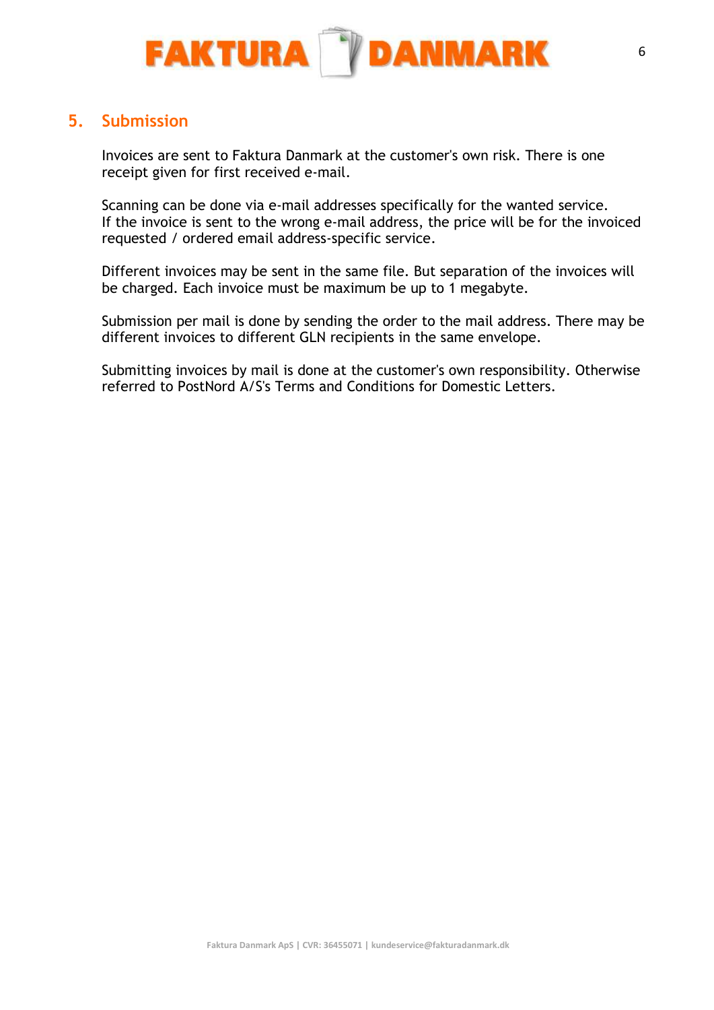

## 5. Submission

Invoices are sent to Faktura Danmark at the customer's own risk. There is one receipt given for first received e-mail.

Scanning can be done via e-mail addresses specifically for the wanted service. If the invoice is sent to the wrong e-mail address, the price will be for the invoiced requested / ordered email address-specific service.

Different invoices may be sent in the same file. But separation of the invoices will be charged. Each invoice must be maximum be up to 1 megabyte.

Submission per mail is done by sending the order to the mail address. There may be different invoices to different GLN recipients in the same envelope.

Submitting invoices by mail is done at the customer's own responsibility. Otherwise referred to PostNord A/S's Terms and Conditions for Domestic Letters.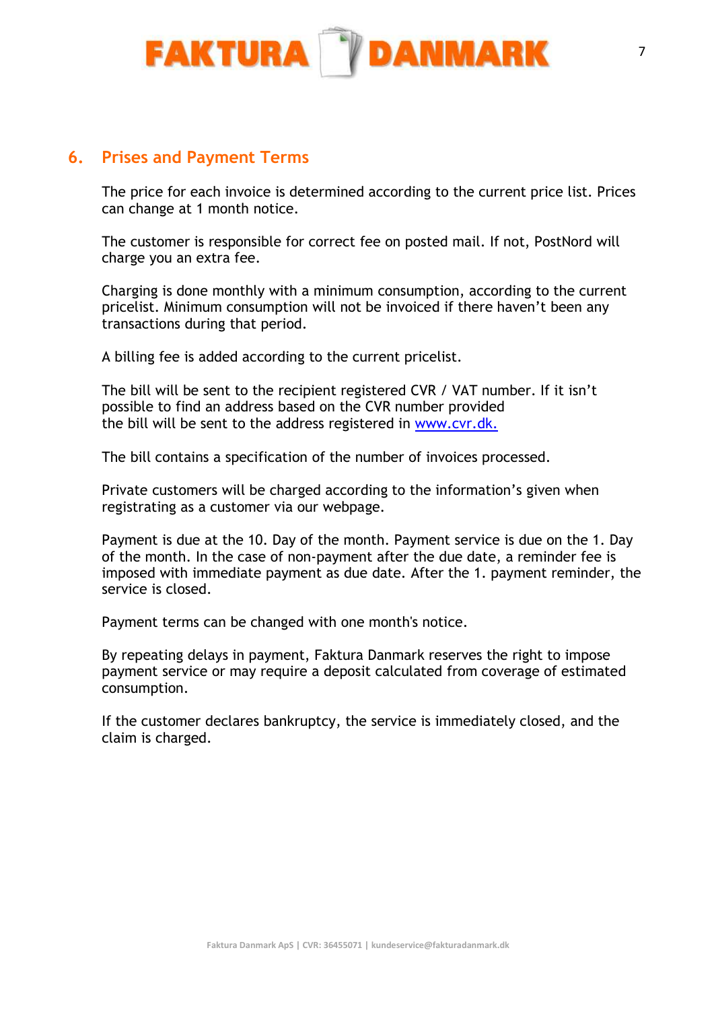

#### 6. Prises and Payment Terms

The price for each invoice is determined according to the current price list. Prices can change at 1 month notice.

The customer is responsible for correct fee on posted mail. If not, PostNord will charge you an extra fee.

Charging is done monthly with a minimum consumption, according to the current pricelist. Minimum consumption will not be invoiced if there haven't been any transactions during that period.

A billing fee is added according to the current pricelist.

The bill will be sent to the recipient registered CVR / VAT number. If it isn't possible to find an address based on the CVR number provided the bill will be sent to the address registered in www.cvr.dk.

The bill contains a specification of the number of invoices processed.

Private customers will be charged according to the information's given when registrating as a customer via our webpage.

Payment is due at the 10. Day of the month. Payment service is due on the 1. Day of the month. In the case of non-payment after the due date, a reminder fee is imposed with immediate payment as due date. After the 1. payment reminder, the service is closed.

Payment terms can be changed with one month's notice.

By repeating delays in payment, Faktura Danmark reserves the right to impose payment service or may require a deposit calculated from coverage of estimated consumption.

If the customer declares bankruptcy, the service is immediately closed, and the claim is charged.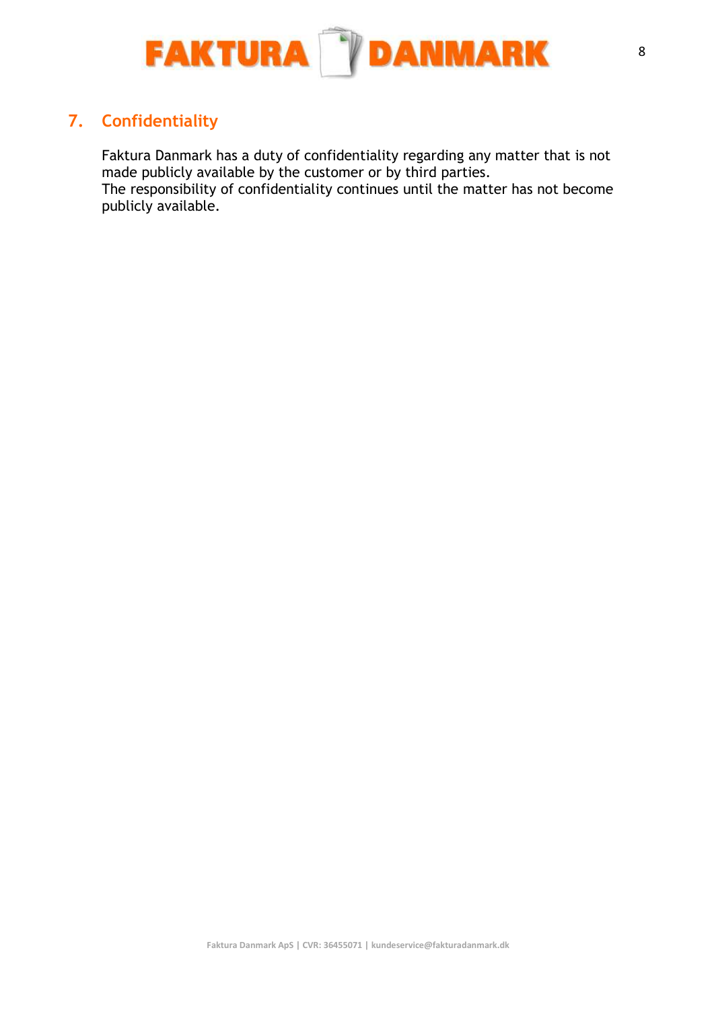

# 7. Confidentiality

Faktura Danmark has a duty of confidentiality regarding any matter that is not made publicly available by the customer or by third parties.

The responsibility of confidentiality continues until the matter has not become publicly available.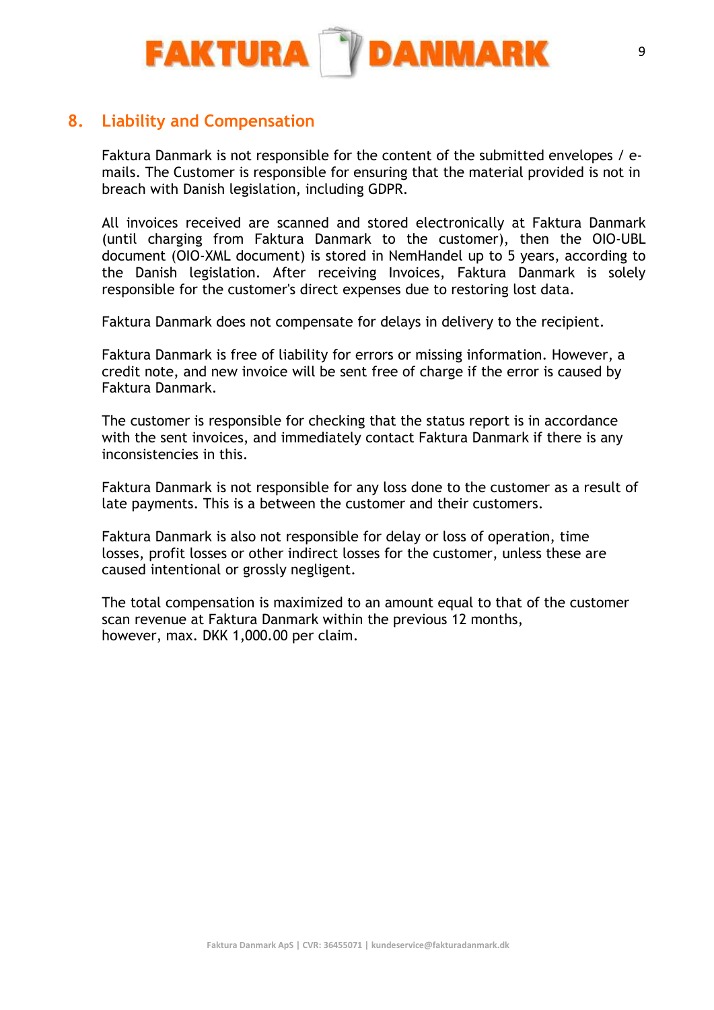

## 8. Liability and Compensation

Faktura Danmark is not responsible for the content of the submitted envelopes / emails. The Customer is responsible for ensuring that the material provided is not in breach with Danish legislation, including GDPR.

All invoices received are scanned and stored electronically at Faktura Danmark (until charging from Faktura Danmark to the customer), then the OIO-UBL document (OIO-XML document) is stored in NemHandel up to 5 years, according to the Danish legislation. After receiving Invoices, Faktura Danmark is solely responsible for the customer's direct expenses due to restoring lost data.

Faktura Danmark does not compensate for delays in delivery to the recipient.

Faktura Danmark is free of liability for errors or missing information. However, a credit note, and new invoice will be sent free of charge if the error is caused by Faktura Danmark.

The customer is responsible for checking that the status report is in accordance with the sent invoices, and immediately contact Faktura Danmark if there is any inconsistencies in this.

Faktura Danmark is not responsible for any loss done to the customer as a result of late payments. This is a between the customer and their customers.

Faktura Danmark is also not responsible for delay or loss of operation, time losses, profit losses or other indirect losses for the customer, unless these are caused intentional or grossly negligent.

The total compensation is maximized to an amount equal to that of the customer scan revenue at Faktura Danmark within the previous 12 months, however, max. DKK 1,000.00 per claim.